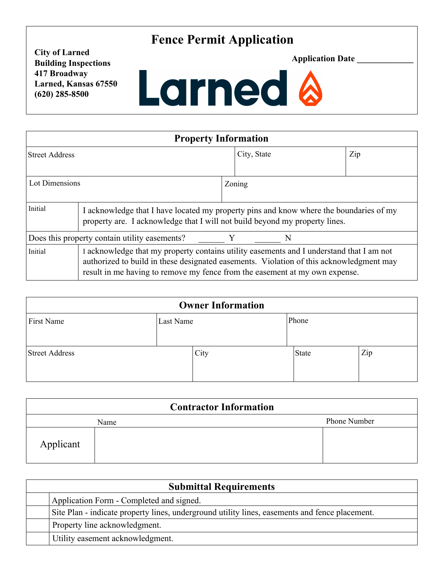## **Fence Permit Application**

**City of Larned Building Inspections 417 Broadway Larned, Kansas 67550 (620) 285-8500**



| <b>Property Information</b>                             |                                                                                                                                                                                                                                                                    |             |  |     |  |
|---------------------------------------------------------|--------------------------------------------------------------------------------------------------------------------------------------------------------------------------------------------------------------------------------------------------------------------|-------------|--|-----|--|
| Street Address                                          |                                                                                                                                                                                                                                                                    | City, State |  | Zip |  |
| Lot Dimensions                                          | Zoning                                                                                                                                                                                                                                                             |             |  |     |  |
| Initial                                                 | I acknowledge that I have located my property pins and know where the boundaries of my<br>property are. I acknowledge that I will not build beyond my property lines.                                                                                              |             |  |     |  |
| Does this property contain utility easements?<br>Y<br>N |                                                                                                                                                                                                                                                                    |             |  |     |  |
| Initial                                                 | I acknowledge that my property contains utility easements and I understand that I am not<br>authorized to build in these designated easements. Violation of this acknowledgment may<br>result in me having to remove my fence from the easement at my own expense. |             |  |     |  |

| <b>Owner Information</b> |           |      |       |     |
|--------------------------|-----------|------|-------|-----|
| First Name               | Last Name |      | Phone |     |
| <b>Street Address</b>    |           | City | State | Zip |

| <b>Contractor Information</b> |      |              |  |  |
|-------------------------------|------|--------------|--|--|
|                               | Name | Phone Number |  |  |
| Applicant                     |      |              |  |  |

| <b>Submittal Requirements</b> |                                                                                                |  |
|-------------------------------|------------------------------------------------------------------------------------------------|--|
|                               | Application Form - Completed and signed.                                                       |  |
|                               | Site Plan - indicate property lines, underground utility lines, easements and fence placement. |  |
|                               | Property line acknowledgment.                                                                  |  |
|                               | Utility easement acknowledgment.                                                               |  |